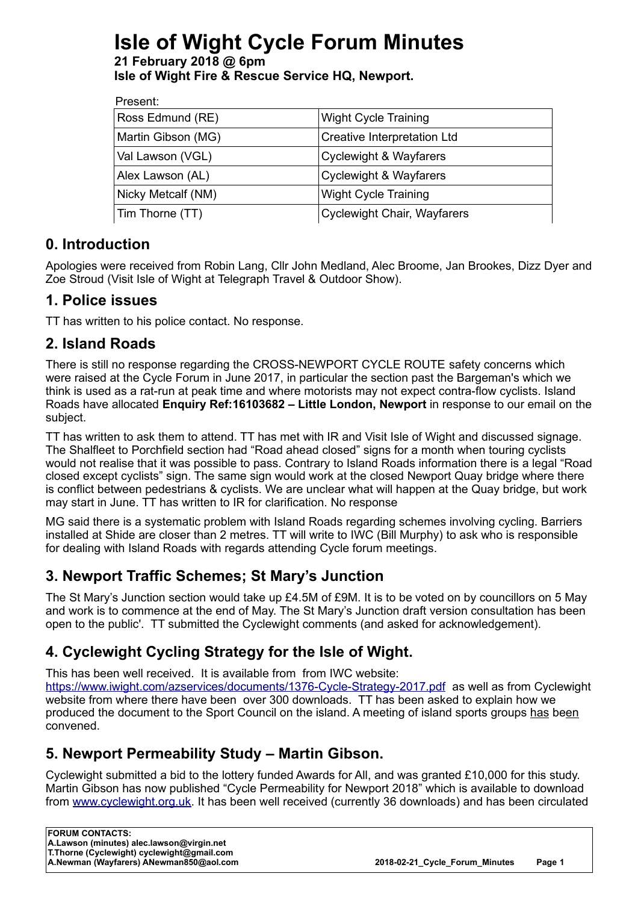# **Isle of Wight Cycle Forum Minutes**

**21 February 2018 @ 6pm Isle of Wight Fire & Rescue Service HQ, Newport.**

| Present:           |                                    |
|--------------------|------------------------------------|
| Ross Edmund (RE)   | <b>Wight Cycle Training</b>        |
| Martin Gibson (MG) | Creative Interpretation Ltd        |
| Val Lawson (VGL)   | <b>Cyclewight &amp; Wayfarers</b>  |
| Alex Lawson (AL)   | <b>Cyclewight &amp; Wayfarers</b>  |
| Nicky Metcalf (NM) | <b>Wight Cycle Training</b>        |
| Tim Thorne (TT)    | <b>Cyclewight Chair, Wayfarers</b> |
|                    |                                    |

### **0. Introduction**

Apologies were received from Robin Lang, Cllr John Medland, Alec Broome, Jan Brookes, Dizz Dyer and Zoe Stroud (Visit Isle of Wight at Telegraph Travel & Outdoor Show).

#### **1. Police issues**

TT has written to his police contact. No response.

## **2. Island Roads**

There is still no response regarding the CROSS-NEWPORT CYCLE ROUTE safety concerns which were raised at the Cycle Forum in June 2017, in particular the section past the Bargeman's which we think is used as a rat-run at peak time and where motorists may not expect contra-flow cyclists. Island Roads have allocated **Enquiry Ref:16103682 – Little London, Newport** in response to our email on the subject.

TT has written to ask them to attend. TT has met with IR and Visit Isle of Wight and discussed signage. The Shalfleet to Porchfield section had "Road ahead closed" signs for a month when touring cyclists would not realise that it was possible to pass. Contrary to Island Roads information there is a legal "Road closed except cyclists" sign. The same sign would work at the closed Newport Quay bridge where there is conflict between pedestrians & cyclists. We are unclear what will happen at the Quay bridge, but work may start in June. TT has written to IR for clarification. No response

MG said there is a systematic problem with Island Roads regarding schemes involving cycling. Barriers installed at Shide are closer than 2 metres. TT will write to IWC (Bill Murphy) to ask who is responsible for dealing with Island Roads with regards attending Cycle forum meetings.

# **3. Newport Traffic Schemes; St Mary's Junction**

The St Mary's Junction section would take up £4.5M of £9M. It is to be voted on by councillors on 5 May and work is to commence at the end of May. The St Mary's Junction draft version consultation has been open to the public'. TT submitted the Cyclewight comments (and asked for acknowledgement).

# **4. Cyclewight Cycling Strategy for the Isle of Wight.**

This has been well received. It is available from from IWC website: <https://www.iwight.com/azservices/documents/1376-Cycle-Strategy-2017.pdf>as well as from Cyclewight website from where there have been over 300 downloads. TT has been asked to explain how we produced the document to the Sport Council on the island. A meeting of island sports groups has been convened.

### **5. Newport Permeability Study – Martin Gibson.**

Cyclewight submitted a bid to the lottery funded Awards for All, and was granted £10,000 for this study. Martin Gibson has now published "Cycle Permeability for Newport 2018" which is available to download from [www.cyclewight.org.uk.](http://www.cyclewight.org.uk/) It has been well received (currently 36 downloads) and has been circulated